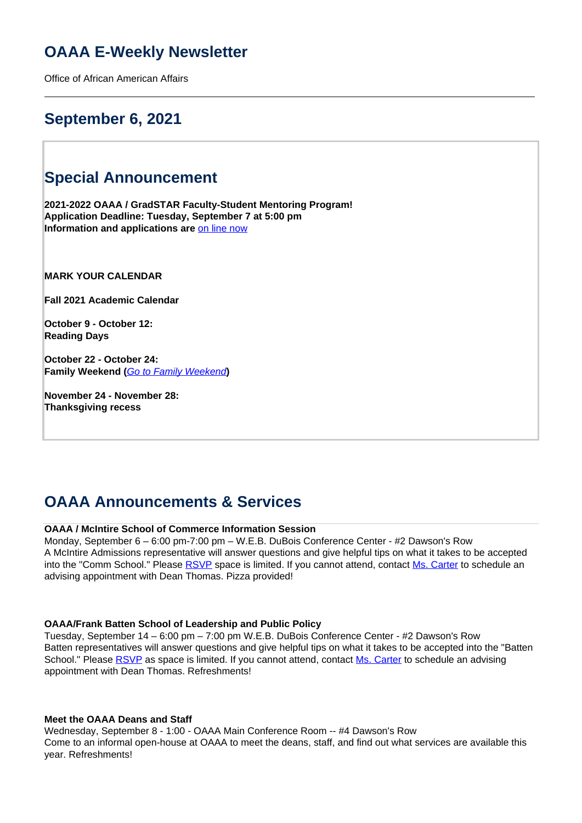# **OAAA E-Weekly Newsletter**

Office of African American Affairs

# **September 6, 2021**

# **Special Announcement**

**2021-2022 OAAA / GradSTAR Faculty-Student Mentoring Program! Application Deadline: Tuesday, September 7 at 5:00 pm Information and applications are** [on line now](https://oaaa.virginia.edu/oaaa-mentoring-program-application-form)

**MARK YOUR CALENDAR**

**Fall 2021 Academic Calendar** 

**October 9 - October 12: Reading Days**

**October 22 - October 24: Family Weekend (**Go to Family Weekend**)**

**November 24 - November 28: Thanksgiving recess**

# **OAAA Announcements & Services**

## **OAAA / McIntire School of Commerce Information Session**

Monday, September 6 – 6:00 pm-7:00 pm – W.E.B. DuBois Conference Center - #2 Dawson's Row A McIntire Admissions representative will answer questions and give helpful tips on what it takes to be accepted into the "Comm School." Please RSVP space is limited. If you cannot attend, contact Ms. Carter to schedule an advising appointment with Dean Thomas. Pizza provided!

## **OAAA/Frank Batten School of Leadership and Public Policy**

Tuesday, September 14 – 6:00 pm – 7:00 pm W.E.B. DuBois Conference Center - #2 Dawson's Row Batten representatives will answer questions and give helpful tips on what it takes to be accepted into the "Batten School." Please RSVP as space is limited. If you cannot attend, contact Ms. Carter to schedule an advising appointment with Dean Thomas. Refreshments!

### **Meet the OAAA Deans and Staff**

Wednesday, September 8 - 1:00 - OAAA Main Conference Room -- #4 Dawson's Row Come to an informal open-house at OAAA to meet the deans, staff, and find out what services are available this year. Refreshments!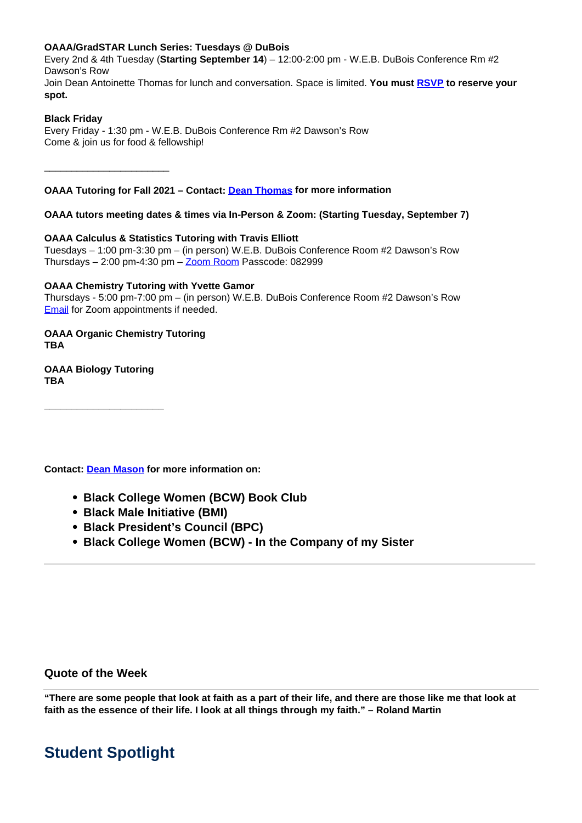# **OAAA/GradSTAR Lunch Series: Tuesdays @ DuBois**

Every 2nd & 4th Tuesday (**Starting September 14**) – 12:00-2:00 pm - W.E.B. DuBois Conference Rm #2 Dawson's Row Join Dean Antoinette Thomas for lunch and conversation. Space is limited. **You must RSVP to reserve your spot.**

# **Black Friday**

\_\_\_\_\_\_\_\_\_\_\_\_\_\_\_\_\_\_\_\_\_\_\_

Every Friday - 1:30 pm - W.E.B. DuBois Conference Rm #2 Dawson's Row Come & join us for food & fellowship!

**OAAA Tutoring for Fall 2021 – Contact: Dean Thomas for more information**

**OAAA tutors meeting dates & times via In-Person & Zoom: (Starting Tuesday, September 7)**

**OAAA Calculus & Statistics Tutoring with Travis Elliott** Tuesdays – 1:00 pm-3:30 pm – (in person) W.E.B. DuBois Conference Room #2 Dawson's Row Thursdays  $-2:00$  pm-4:30 pm  $-\underline{Zoom}$  Room Passcode: 082999

# **OAAA Chemistry Tutoring with Yvette Gamor**

Thursdays - 5:00 pm-7:00 pm – (in person) W.E.B. DuBois Conference Room #2 Dawson's Row Email for Zoom appointments if needed.

# **OAAA Organic Chemistry Tutoring TBA**

# **OAAA Biology Tutoring TBA**

**\_\_\_\_\_\_\_\_\_\_\_\_\_\_\_\_\_\_\_\_\_\_**

**Contact: Dean Mason for more information on:** 

- **Black College Women (BCW) Book Club**
- **Black Male Initiative (BMI)**
- **Black President's Council (BPC)**
- **Black College Women (BCW) In the Company of my Sister**

# **Quote of the Week**

**"There are some people that look at faith as a part of their life, and there are those like me that look at faith as the essence of their life. I look at all things through my faith." – Roland Martin**

# **Student Spotlight**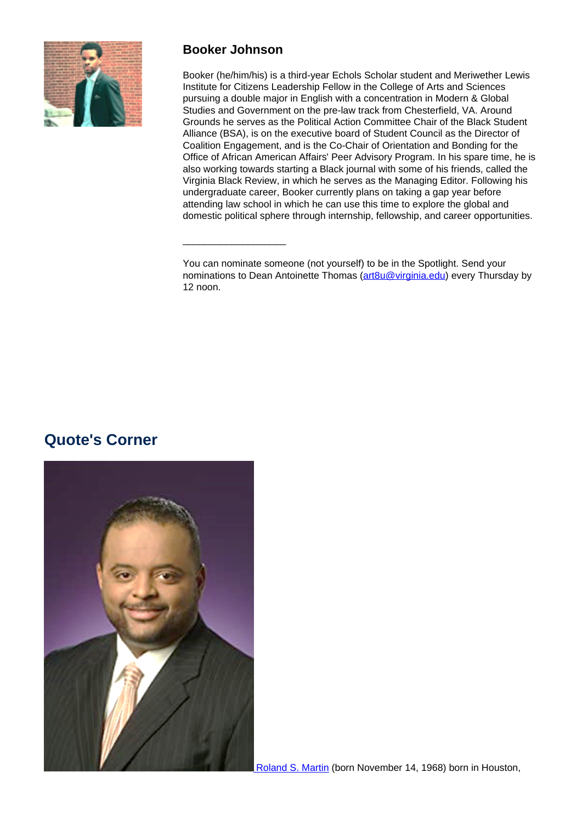

# **Booker Johnson**

\_\_\_\_\_\_\_\_\_\_\_\_\_\_\_\_\_\_\_

Booker (he/him/his) is a third-year Echols Scholar student and Meriwether Lewis Institute for Citizens Leadership Fellow in the College of Arts and Sciences pursuing a double major in English with a concentration in Modern & Global Studies and Government on the pre-law track from Chesterfield, VA. Around Grounds he serves as the Political Action Committee Chair of the Black Student Alliance (BSA), is on the executive board of Student Council as the Director of Coalition Engagement, and is the Co-Chair of Orientation and Bonding for the Office of African American Affairs' Peer Advisory Program. In his spare time, he is also working towards starting a Black journal with some of his friends, called the Virginia Black Review, in which he serves as the Managing Editor. Following his undergraduate career, Booker currently plans on taking a gap year before attending law school in which he can use this time to explore the global and domestic political sphere through internship, fellowship, and career opportunities.

You can nominate someone (not yourself) to be in the Spotlight. Send your nominations to Dean Antoinette Thomas (art8u@virginia.edu) every Thursday by 12 noon.

# **Quote's Corner**

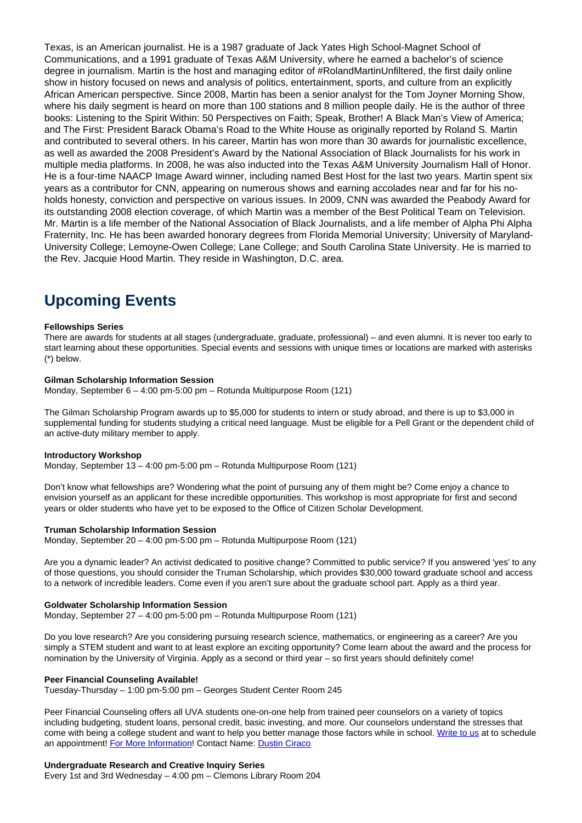Texas, is an American journalist. He is a 1987 graduate of Jack Yates High School-Magnet School of Communications, and a 1991 graduate of Texas A&M University, where he earned a bachelor's of science degree in journalism. Martin is the host and managing editor of #RolandMartinUnfiltered, the first daily online show in history focused on news and analysis of politics, entertainment, sports, and culture from an explicitly African American perspective. Since 2008, Martin has been a senior analyst for the Tom Joyner Morning Show, where his daily segment is heard on more than 100 stations and 8 million people daily. He is the author of three books: Listening to the Spirit Within: 50 Perspectives on Faith; Speak, Brother! A Black Man's View of America; and The First: President Barack Obama's Road to the White House as originally reported by Roland S. Martin and contributed to several others. In his career, Martin has won more than 30 awards for journalistic excellence, as well as awarded the 2008 President's Award by the National Association of Black Journalists for his work in multiple media platforms. In 2008, he was also inducted into the Texas A&M University Journalism Hall of Honor. He is a four-time NAACP Image Award winner, including named Best Host for the last two years. Martin spent six years as a contributor for CNN, appearing on numerous shows and earning accolades near and far for his noholds honesty, conviction and perspective on various issues. In 2009, CNN was awarded the Peabody Award for its outstanding 2008 election coverage, of which Martin was a member of the Best Political Team on Television. Mr. Martin is a life member of the National Association of Black Journalists, and a life member of Alpha Phi Alpha Fraternity, Inc. He has been awarded honorary degrees from Florida Memorial University; University of Maryland-University College; Lemoyne-Owen College; Lane College; and South Carolina State University. He is married to the Rev. Jacquie Hood Martin. They reside in Washington, D.C. area.

# **Upcoming Events**

### **Fellowships Series**

There are awards for students at all stages (undergraduate, graduate, professional) – and even alumni. It is never too early to start learning about these opportunities. Special events and sessions with unique times or locations are marked with asterisks (\*) below.

### **Gilman Scholarship Information Session**

Monday, September 6 – 4:00 pm-5:00 pm – Rotunda Multipurpose Room (121)

The Gilman Scholarship Program awards up to \$5,000 for students to intern or study abroad, and there is up to \$3,000 in supplemental funding for students studying a critical need language. Must be eligible for a Pell Grant or the dependent child of an active-duty military member to apply.

#### **Introductory Workshop**

Monday, September 13 – 4:00 pm-5:00 pm – Rotunda Multipurpose Room (121)

Don't know what fellowships are? Wondering what the point of pursuing any of them might be? Come enjoy a chance to envision yourself as an applicant for these incredible opportunities. This workshop is most appropriate for first and second years or older students who have yet to be exposed to the Office of Citizen Scholar Development.

#### **Truman Scholarship Information Session**

Monday, September 20 – 4:00 pm-5:00 pm – Rotunda Multipurpose Room (121)

Are you a dynamic leader? An activist dedicated to positive change? Committed to public service? If you answered 'yes' to any of those questions, you should consider the Truman Scholarship, which provides \$30,000 toward graduate school and access to a network of incredible leaders. Come even if you aren't sure about the graduate school part. Apply as a third year.

#### **Goldwater Scholarship Information Session**

Monday, September 27 – 4:00 pm-5:00 pm – Rotunda Multipurpose Room (121)

Do you love research? Are you considering pursuing research science, mathematics, or engineering as a career? Are you simply a STEM student and want to at least explore an exciting opportunity? Come learn about the award and the process for nomination by the University of Virginia. Apply as a second or third year – so first years should definitely come!

#### **Peer Financial Counseling Available!**

Tuesday-Thursday – 1:00 pm-5:00 pm – Georges Student Center Room 245

Peer Financial Counseling offers all UVA students one-on-one help from trained peer counselors on a variety of topics including budgeting, student loans, personal credit, basic investing, and more. Our counselors understand the stresses that come with being a college student and want to help you better manage those factors while in school. Write to us at to schedule an appointment! For More Information! Contact Name: Dustin Ciraco

### **Undergraduate Research and Creative Inquiry Series**

Every 1st and 3rd Wednesday – 4:00 pm – Clemons Library Room 204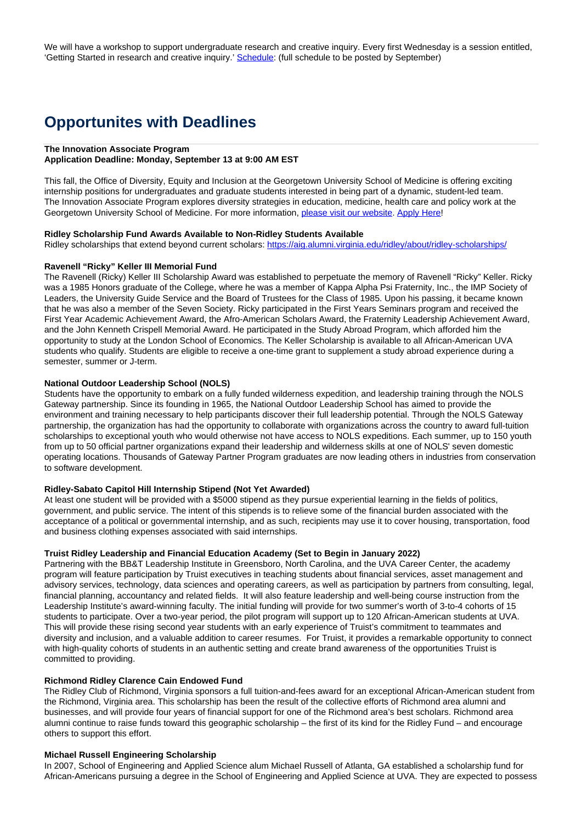We will have a workshop to support undergraduate research and creative inquiry. Every first Wednesday is a session entitled, 'Getting Started in research and creative inquiry.' Schedule: (full schedule to be posted by September)

# **Opportunites with Deadlines**

#### **The Innovation Associate Program**

#### **Application Deadline: Monday, September 13 at 9:00 AM EST**

This fall, the Office of Diversity, Equity and Inclusion at the Georgetown University School of Medicine is offering exciting internship positions for undergraduates and graduate students interested in being part of a dynamic, student-led team. The Innovation Associate Program explores diversity strategies in education, medicine, health care and policy work at the Georgetown University School of Medicine. For more information, please visit our website. Apply Here!

### **Ridley Scholarship Fund Awards Available to Non-Ridley Students Available**

Ridley scholarships that extend beyond current scholars: https://aig.alumni.virginia.edu/ridley/about/ridley-scholarships/

# **Ravenell "Ricky" Keller III Memorial Fund**

The Ravenell (Ricky) Keller III Scholarship Award was established to perpetuate the memory of Ravenell "Ricky" Keller. Ricky was a 1985 Honors graduate of the College, where he was a member of Kappa Alpha Psi Fraternity, Inc., the IMP Society of Leaders, the University Guide Service and the Board of Trustees for the Class of 1985. Upon his passing, it became known that he was also a member of the Seven Society. Ricky participated in the First Years Seminars program and received the First Year Academic Achievement Award, the Afro-American Scholars Award, the Fraternity Leadership Achievement Award, and the John Kenneth Crispell Memorial Award. He participated in the Study Abroad Program, which afforded him the opportunity to study at the London School of Economics. The Keller Scholarship is available to all African-American UVA students who qualify. Students are eligible to receive a one-time grant to supplement a study abroad experience during a semester, summer or J-term.

### **National Outdoor Leadership School (NOLS)**

Students have the opportunity to embark on a fully funded wilderness expedition, and leadership training through the NOLS Gateway partnership. Since its founding in 1965, the National Outdoor Leadership School has aimed to provide the environment and training necessary to help participants discover their full leadership potential. Through the NOLS Gateway partnership, the organization has had the opportunity to collaborate with organizations across the country to award full-tuition scholarships to exceptional youth who would otherwise not have access to NOLS expeditions. Each summer, up to 150 youth from up to 50 official partner organizations expand their leadership and wilderness skills at one of NOLS' seven domestic operating locations. Thousands of Gateway Partner Program graduates are now leading others in industries from conservation to software development.

### **Ridley-Sabato Capitol Hill Internship Stipend (Not Yet Awarded)**

At least one student will be provided with a \$5000 stipend as they pursue experiential learning in the fields of politics, government, and public service. The intent of this stipends is to relieve some of the financial burden associated with the acceptance of a political or governmental internship, and as such, recipients may use it to cover housing, transportation, food and business clothing expenses associated with said internships.

#### **Truist Ridley Leadership and Financial Education Academy (Set to Begin in January 2022)**

Partnering with the BB&T Leadership Institute in Greensboro, North Carolina, and the UVA Career Center, the academy program will feature participation by Truist executives in teaching students about financial services, asset management and advisory services, technology, data sciences and operating careers, as well as participation by partners from consulting, legal, financial planning, accountancy and related fields. It will also feature leadership and well-being course instruction from the Leadership Institute's award-winning faculty. The initial funding will provide for two summer's worth of 3-to-4 cohorts of 15 students to participate. Over a two-year period, the pilot program will support up to 120 African-American students at UVA. This will provide these rising second year students with an early experience of Truist's commitment to teammates and diversity and inclusion, and a valuable addition to career resumes. For Truist, it provides a remarkable opportunity to connect with high-quality cohorts of students in an authentic setting and create brand awareness of the opportunities Truist is committed to providing.

## **Richmond Ridley Clarence Cain Endowed Fund**

The Ridley Club of Richmond, Virginia sponsors a full tuition-and-fees award for an exceptional African-American student from the Richmond, Virginia area. This scholarship has been the result of the collective efforts of Richmond area alumni and businesses, and will provide four years of financial support for one of the Richmond area's best scholars. Richmond area alumni continue to raise funds toward this geographic scholarship – the first of its kind for the Ridley Fund – and encourage others to support this effort.

## **Michael Russell Engineering Scholarship**

In 2007, School of Engineering and Applied Science alum Michael Russell of Atlanta, GA established a scholarship fund for African-Americans pursuing a degree in the School of Engineering and Applied Science at UVA. They are expected to possess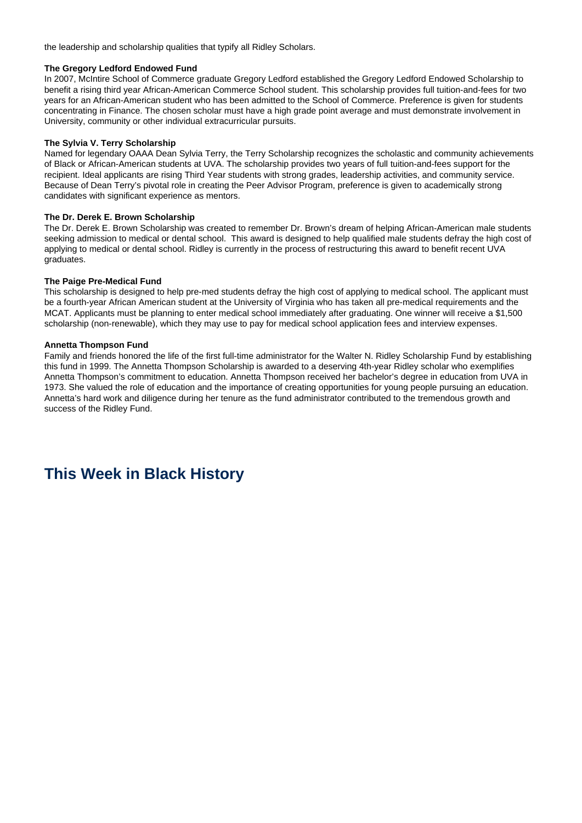the leadership and scholarship qualities that typify all Ridley Scholars.

### **The Gregory Ledford Endowed Fund**

In 2007, McIntire School of Commerce graduate Gregory Ledford established the Gregory Ledford Endowed Scholarship to benefit a rising third year African-American Commerce School student. This scholarship provides full tuition-and-fees for two years for an African-American student who has been admitted to the School of Commerce. Preference is given for students concentrating in Finance. The chosen scholar must have a high grade point average and must demonstrate involvement in University, community or other individual extracurricular pursuits.

## **The Sylvia V. Terry Scholarship**

Named for legendary OAAA Dean Sylvia Terry, the Terry Scholarship recognizes the scholastic and community achievements of Black or African-American students at UVA. The scholarship provides two years of full tuition-and-fees support for the recipient. Ideal applicants are rising Third Year students with strong grades, leadership activities, and community service. Because of Dean Terry's pivotal role in creating the Peer Advisor Program, preference is given to academically strong candidates with significant experience as mentors.

## **The Dr. Derek E. Brown Scholarship**

The Dr. Derek E. Brown Scholarship was created to remember Dr. Brown's dream of helping African-American male students seeking admission to medical or dental school. This award is designed to help qualified male students defray the high cost of applying to medical or dental school. Ridley is currently in the process of restructuring this award to benefit recent UVA graduates.

## **The Paige Pre-Medical Fund**

This scholarship is designed to help pre-med students defray the high cost of applying to medical school. The applicant must be a fourth-year African American student at the University of Virginia who has taken all pre-medical requirements and the MCAT. Applicants must be planning to enter medical school immediately after graduating. One winner will receive a \$1,500 scholarship (non-renewable), which they may use to pay for medical school application fees and interview expenses.

## **Annetta Thompson Fund**

Family and friends honored the life of the first full-time administrator for the Walter N. Ridley Scholarship Fund by establishing this fund in 1999. The Annetta Thompson Scholarship is awarded to a deserving 4th-year Ridley scholar who exemplifies Annetta Thompson's commitment to education. Annetta Thompson received her bachelor's degree in education from UVA in 1973. She valued the role of education and the importance of creating opportunities for young people pursuing an education. Annetta's hard work and diligence during her tenure as the fund administrator contributed to the tremendous growth and success of the Ridley Fund.

# **This Week in Black History**